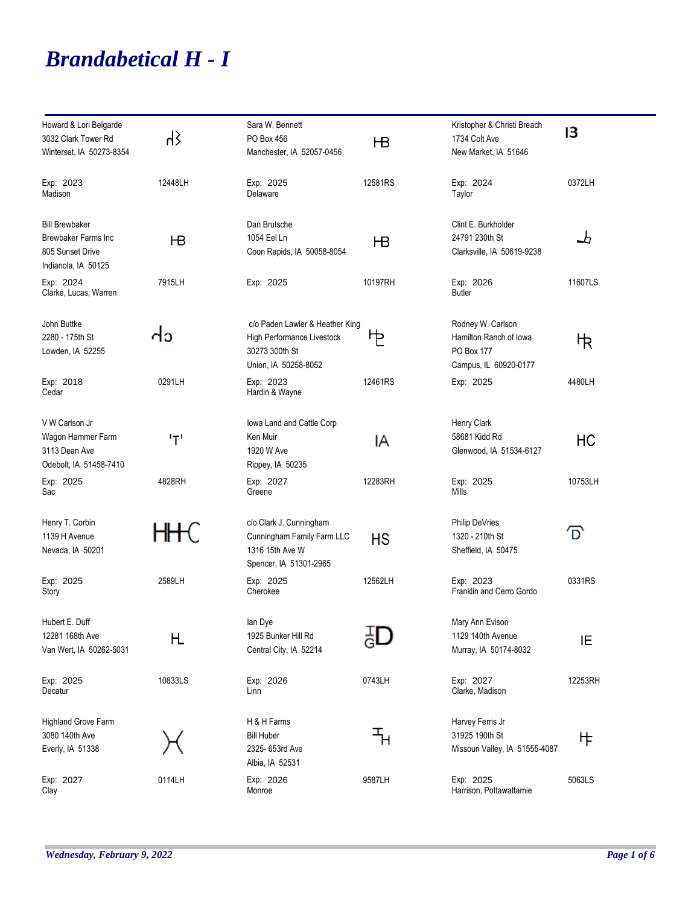## *Brandabetical H - I*

| Howard & Lori Belgarde<br>3032 Clark Tower Rd<br>Winterset, IA 50273-8354                | ζh      | Sara W. Bennett<br>PO Box 456<br>Manchester, IA 52057-0456                                              | HВ      | Kristopher & Christi Breach<br>1734 Colt Ave<br>New Market, IA 51646               | в       |
|------------------------------------------------------------------------------------------|---------|---------------------------------------------------------------------------------------------------------|---------|------------------------------------------------------------------------------------|---------|
| Exp: 2023<br>Madison                                                                     | 12448LH | Exp: 2025<br>Delaware                                                                                   | 12581RS | Exp: 2024<br>Taylor                                                                | 0372LH  |
| <b>Bill Brewbaker</b><br>Brewbaker Farms Inc.<br>805 Sunset Drive<br>Indianola, IA 50125 | НB      | Dan Brutsche<br>1054 Eel Ln<br>Coon Rapids, IA 50058-8054                                               | HВ      | Clint E. Burkholder<br>24791 230th St<br>Clarksville, IA 50619-9238                | 圡       |
| Exp: 2024<br>Clarke, Lucas, Warren                                                       | 7915LH  | Exp: 2025                                                                                               | 10197RH | Exp: 2026<br><b>Butler</b>                                                         | 11607LS |
| John Buttke<br>2280 - 175th St<br>Lowden, IA 52255                                       | ძა      | c/o Paden Lawler & Heather King<br>High Performance Livestock<br>30273 300th St<br>Union, IA 50258-8052 | ኮ       | Rodney W. Carlson<br>Hamilton Ranch of Iowa<br>PO Box 177<br>Campus, IL 60920-0177 | 忭       |
| Exp: 2018<br>Cedar                                                                       | 0291LH  | Exp: 2023<br>Hardin & Wayne                                                                             | 12461RS | Exp: 2025                                                                          | 4480LH  |
| V W Carlson Jr<br>Wagon Hammer Farm<br>3113 Dean Ave<br>Odebolt, IA 51458-7410           | ידי     | lowa Land and Cattle Corp<br>Ken Muir<br>1920 W Ave<br>Rippey, IA 50235                                 | ΙA      | Henry Clark<br>58681 Kidd Rd<br>Glenwood, IA 51534-6127                            | HC      |
| Exp: 2025<br>Sac                                                                         | 4828RH  | Exp: 2027<br>Greene                                                                                     | 12283RH | Exp: 2025<br>Mills                                                                 | 10753LH |
| Henry T. Corbin<br>1139 H Avenue<br>Nevada, IA 50201                                     |         | c/o Clark J. Cunningham<br>Cunningham Family Farm LLC<br>1316 15th Ave W<br>Spencer, IA 51301-2965      | HS      | <b>Philip DeVries</b><br>1320 - 210th St<br>Sheffield, IA 50475                    | ք       |
| Exp: 2025<br>Story                                                                       | 2589LH  | Exp: 2025<br>Cherokee                                                                                   | 12562LH | Exp: 2023<br>Franklin and Cerro Gordo                                              | 0331RS  |
| Hubert E. Duff<br>12281 168th Ave<br>Van Wert, IA 50262-5031                             | Η       | lan Dye<br>1925 Bunker Hill Rd<br>Central City, IA 52214                                                |         | Mary Ann Evison<br>1129 140th Avenue<br>Murray, IA 50174-8032                      | ΙE      |
| Exp: 2025<br>Decatur                                                                     | 10833LS | Exp: 2026<br>Linn                                                                                       | 0743LH  | Exp: 2027<br>Clarke, Madison                                                       | 12253RH |
| Highland Grove Farm<br>3080 140th Ave<br>Everly, IA 51338                                |         | H & H Farms<br><b>Bill Huber</b><br>2325- 653rd Ave<br>Albia, IA 52531                                  | ℸ       | Harvey Ferris Jr<br>31925 190th St<br>Missouri Valley, IA 51555-4087               | ⋫       |
| Exp: 2027<br>Clay                                                                        | 0114LH  | Exp: 2026<br>Monroe                                                                                     | 9587LH  | Exp: 2025<br>Harrison, Pottawattamie                                               | 5063LS  |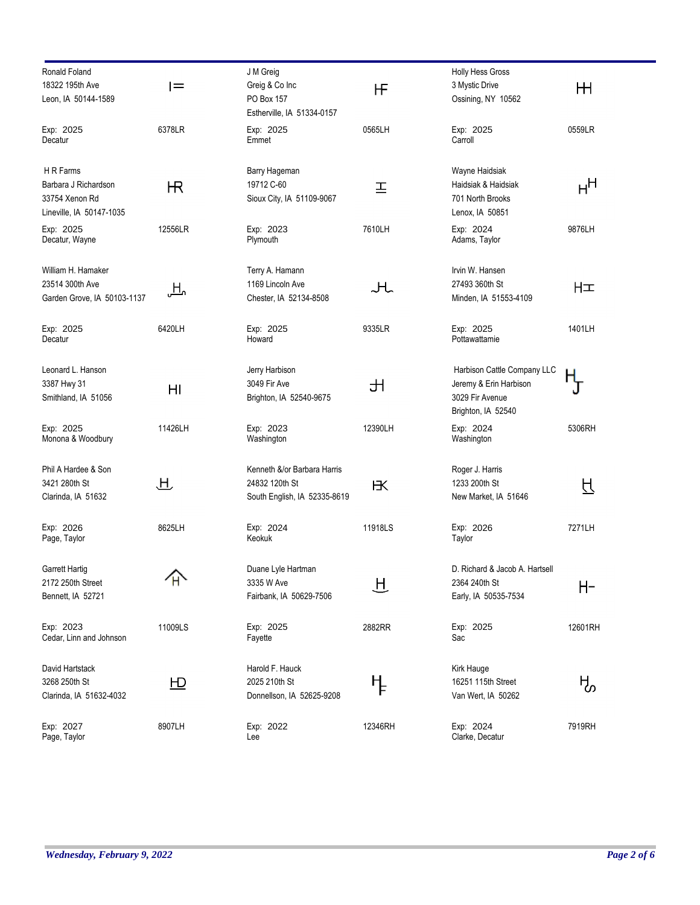| Ronald Foland<br>18322 195th Ave               | l=                       | J M Greig<br>Greig & Co Inc                    | НF      | Holly Hess Gross<br>3 Mystic Drive                              | Щ       |
|------------------------------------------------|--------------------------|------------------------------------------------|---------|-----------------------------------------------------------------|---------|
| Leon, IA 50144-1589                            |                          | PO Box 157<br>Estherville, IA 51334-0157       |         | Ossining, NY 10562                                              |         |
| Exp: 2025<br>Decatur                           | 6378LR                   | Exp: 2025<br>Emmet                             | 0565LH  | Exp: 2025<br>Carroll                                            | 0559LR  |
| H R Farms<br>Barbara J Richardson              |                          | Barry Hageman<br>19712 C-60                    |         | Wayne Haidsiak<br>Haidsiak & Haidsiak                           |         |
| 33754 Xenon Rd<br>Lineville, IA 50147-1035     | Ѭ                        | Sioux City, IA 51109-9067                      | 프       | 701 North Brooks<br>Lenox, IA 50851                             | нн      |
| Exp: 2025<br>Decatur, Wayne                    | 12556LR                  | Exp: 2023<br>Plymouth                          | 7610LH  | Exp: 2024<br>Adams, Taylor                                      | 9876LH  |
| William H. Hamaker                             |                          | Terry A. Hamann                                |         | Irvin W. Hansen                                                 |         |
| 23514 300th Ave<br>Garden Grove, IA 50103-1137 | 凸                        | 1169 Lincoln Ave<br>Chester, IA 52134-8508     | ᅪ       | 27493 360th St<br>Minden, IA 51553-4109                         | HΞ      |
| Exp: 2025<br>Decatur                           | 6420LH                   | Exp: 2025<br>Howard                            | 9335LR  | Exp: 2025<br>Pottawattamie                                      | 1401LH  |
| Leonard L. Hanson                              |                          | Jerry Harbison                                 |         | Harbison Cattle Company LLC                                     |         |
| 3387 Hwy 31<br>Smithland, IA 51056             | HI                       | 3049 Fir Ave<br>Brighton, IA 52540-9675        | 出       | Jeremy & Erin Harbison<br>3029 Fir Avenue<br>Brighton, IA 52540 | Ҧ       |
| Exp: 2025<br>Monona & Woodbury                 | 11426LH                  | Exp: 2023<br>Washington                        | 12390LH | Exp: 2024<br>Washington                                         | 5306RH  |
| Phil A Hardee & Son                            |                          | Kenneth &/or Barbara Harris                    |         | Roger J. Harris                                                 |         |
| 3421 280th St<br>Clarinda, IA 51632            | 卫                        | 24832 120th St<br>South English, IA 52335-8619 | К       | 1233 200th St<br>New Market, IA 51646                           | 日       |
| Exp: 2026<br>Page, Taylor                      | 8625LH                   | Exp: 2024<br>Keokuk                            | 11918LS | Exp: 2026<br>Taylor                                             | 7271LH  |
| Garrett Hartig                                 |                          | Duane Lyle Hartman                             |         | D. Richard & Jacob A. Hartsell                                  |         |
| 2172 250th Street<br>Bennett, IA 52721         |                          | 3335 W Ave<br>Fairbank, IA 50629-7506          | 日       | 2364 240th St<br>Early, IA 50535-7534                           | H-      |
| Exp: 2023<br>Cedar, Linn and Johnson           | 11009LS                  | Exp: 2025<br>Fayette                           | 2882RR  | Exp: 2025<br>Sac                                                | 12601RH |
| David Hartstack                                |                          | Harold F. Hauck                                |         | Kirk Hauge                                                      |         |
| 3268 250th St<br>Clarinda, IA 51632-4032       | $\underline{\mathsf{H}}$ | 2025 210th St<br>Donnellson, IA 52625-9208     | ┞       | 16251 115th Street<br>Van Wert, IA 50262                        | ዜ       |
| Exp: 2027<br>Page, Taylor                      | 8907LH                   | Exp: 2022<br>Lee                               | 12346RH | Exp: 2024<br>Clarke, Decatur                                    | 7919RH  |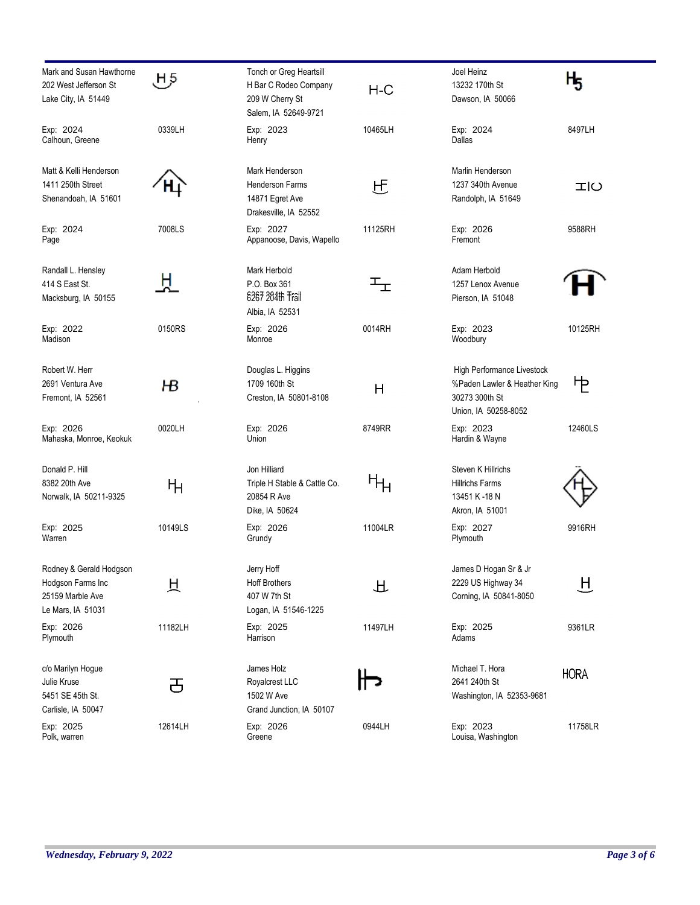| Mark and Susan Hawthorne<br>202 West Jefferson St<br>Lake City, IA 51449              | 5 ل     | Tonch or Greg Heartsill<br>H Bar C Rodeo Company<br>209 W Cherry St<br>Salem, IA 52649-9721 | $H-C$                     | Joel Heinz<br>13232 170th St<br>Dawson, IA 50066                                                     | Н5          |
|---------------------------------------------------------------------------------------|---------|---------------------------------------------------------------------------------------------|---------------------------|------------------------------------------------------------------------------------------------------|-------------|
| Exp: 2024<br>Calhoun, Greene                                                          | 0339LH  | Exp: 2023<br>Henry                                                                          | 10465LH                   | Exp: 2024<br>Dallas                                                                                  | 8497LH      |
| Matt & Kelli Henderson<br>1411 250th Street<br>Shenandoah, IA 51601                   |         | Mark Henderson<br><b>Henderson Farms</b><br>14871 Egret Ave<br>Drakesville, IA 52552        | 巴                         | Marlin Henderson<br>1237 340th Avenue<br>Randolph, IA 51649                                          | エロ          |
| Exp: 2024<br>Page                                                                     | 7008LS  | Exp: 2027<br>Appanoose, Davis, Wapello                                                      | 11125RH                   | Exp: 2026<br>Fremont                                                                                 | 9588RH      |
| Randall L. Hensley<br>414 S East St.<br>Macksburg, IA 50155                           | Ħ.      | Mark Herbold<br>P.O. Box 361<br>6267 204th Trail<br>Albia, IA 52531                         | $\mathbb{F}_{\mathbb{E}}$ | Adam Herbold<br>1257 Lenox Avenue<br>Pierson, IA 51048                                               |             |
| Exp: 2022<br>Madison                                                                  | 0150RS  | Exp: 2026<br>Monroe                                                                         | 0014RH                    | Exp: 2023<br>Woodbury                                                                                | 10125RH     |
| Robert W. Herr<br>2691 Ventura Ave<br>Fremont, IA 52561                               | ΗВ      | Douglas L. Higgins<br>1709 160th St<br>Creston, IA 50801-8108                               | Н                         | High Performance Livestock<br>%Paden Lawler & Heather King<br>30273 300th St<br>Union, IA 50258-8052 | ኮ           |
| Exp: 2026<br>Mahaska, Monroe, Keokuk                                                  | 0020LH  | Exp: 2026<br>Union                                                                          | 8749RR                    | Exp: 2023<br>Hardin & Wayne                                                                          | 12460LS     |
| Donald P. Hill<br>8382 20th Ave<br>Norwalk, IA 50211-9325                             | Ηн      | Jon Hilliard<br>Triple H Stable & Cattle Co.<br>20854 R Ave<br>Dike, IA 50624               | ႥႹ                        | Steven K Hillrichs<br><b>Hillrichs Farms</b><br>13451 K-18 N<br>Akron, IA 51001                      |             |
| Exp: 2025<br>Warren                                                                   | 10149LS | Exp: 2026<br>Grundy                                                                         | 11004LR                   | Exp: 2027<br>Plymouth                                                                                | 9916RH      |
| Rodney & Gerald Hodgson<br>Hodgson Farms Inc<br>25159 Marble Ave<br>Le Mars, IA 51031 | 只       | Jerry Hoff<br><b>Hoff Brothers</b><br>407 W 7th St<br>Logan, IA 51546-1225                  | 丑                         | James D Hogan Sr & Jr<br>2229 US Highway 34<br>Corning, IA 50841-8050                                | 旦           |
| Exp: 2026<br>Plymouth                                                                 | 11182LH | Exp: 2025<br>Harrison                                                                       | 11497LH                   | Exp: 2025<br>Adams                                                                                   | 9361LR      |
| c/o Marilyn Hogue<br>Julie Kruse<br>5451 SE 45th St.<br>Carlisle, IA 50047            | 舌       | James Holz<br>Royalcrest LLC<br>1502 W Ave<br>Grand Junction, IA 50107                      |                           | Michael T. Hora<br>2641 240th St<br>Washington, IA 52353-9681                                        | <b>HORA</b> |
| Exp: 2025<br>Polk, warren                                                             | 12614LH | Exp: 2026<br>Greene                                                                         | 0944LH                    | Exp: 2023<br>Louisa, Washington                                                                      | 11758LR     |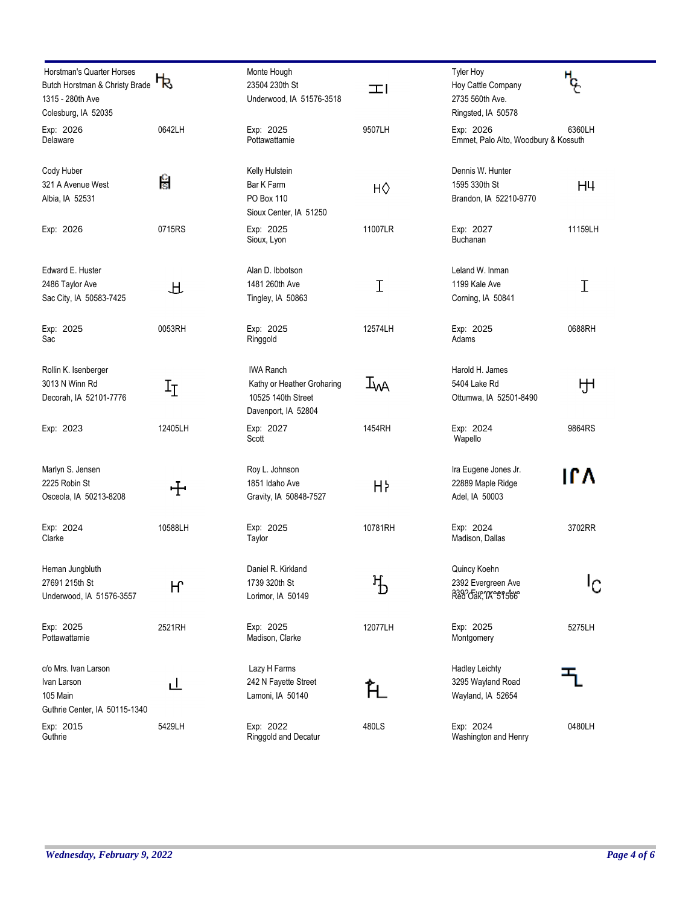| Horstman's Quarter Horses<br>Butch Horstman & Christy Brade<br>1315 - 280th Ave<br>Colesburg, IA 52035 | ቴ       | Monte Hough<br>23504 230th St<br>Underwood, IA 51576-3518                                   | 工       | <b>Tyler Hoy</b><br>Hoy Cattle Company<br>2735 560th Ave.<br>Ringsted, IA 50578 | ጜ<br>"  |
|--------------------------------------------------------------------------------------------------------|---------|---------------------------------------------------------------------------------------------|---------|---------------------------------------------------------------------------------|---------|
| Exp: 2026<br>Delaware                                                                                  | 0642LH  | Exp: 2025<br>Pottawattamie                                                                  | 9507LH  | Exp: 2026<br>Emmet, Palo Alto, Woodbury & Kossuth                               | 6360LH  |
| Cody Huber<br>321 A Avenue West<br>Albia, IA 52531                                                     | န္ခြ    | Kelly Hulstein<br>Bar K Farm<br>PO Box 110<br>Sioux Center, IA 51250                        | НŶ      | Dennis W. Hunter<br>1595 330th St<br>Brandon, IA 52210-9770                     | H4      |
| Exp: 2026                                                                                              | 0715RS  | Exp: 2025<br>Sioux, Lyon                                                                    | 11007LR | Exp: 2027<br>Buchanan                                                           | 11159LH |
| Edward E. Huster<br>2486 Taylor Ave<br>Sac City, IA 50583-7425                                         | 丑       | Alan D. Ibbotson<br>1481 260th Ave<br>Tingley, IA 50863                                     | Ι       | Leland W. Inman<br>1199 Kale Ave<br>Corning, IA 50841                           | Ι       |
| Exp: 2025<br>Sac                                                                                       | 0053RH  | Exp: 2025<br>Ringgold                                                                       | 12574LH | Exp: 2025<br>Adams                                                              | 0688RH  |
| Rollin K. Isenberger<br>3013 N Winn Rd<br>Decorah, IA 52101-7776                                       | $I_I$   | <b>IWA Ranch</b><br>Kathy or Heather Groharing<br>10525 140th Street<br>Davenport, IA 52804 | Įм      | Harold H. James<br>5404 Lake Rd<br>Ottumwa, IA 52501-8490                       | ਸ਼੍ਰਮ   |
| Exp: 2023                                                                                              | 12405LH | Exp: 2027<br>Scott                                                                          | 1454RH  | Exp: 2024<br>Wapello                                                            | 9864RS  |
| Marlyn S. Jensen<br>2225 Robin St<br>Osceola, IA 50213-8208                                            | ╈       | Roy L. Johnson<br>1851 Idaho Ave<br>Gravity, IA 50848-7527                                  | Hŀ      | Ira Eugene Jones Jr.<br>22889 Maple Ridge<br>Adel, IA 50003                     | ۱۲۸     |
| Exp: 2024<br>Clarke                                                                                    | 10588LH | Exp: 2025<br>Taylor                                                                         | 10781RH | Exp: 2024<br>Madison, Dallas                                                    | 3702RR  |
| Heman Jungbluth<br>27691 215th St<br>Underwood, IA 51576-3557                                          | Н       | Daniel R. Kirkland<br>1739 320th St<br>Lorimor, IA 50149                                    | $\rm H$ | Quincy Koehn<br>2392 Evergreen Ave<br>Red dak, TA 51566                         | Ιی      |
| Exp: 2025<br>Pottawattamie                                                                             | 2521RH  | Exp: 2025<br>Madison, Clarke                                                                | 12077LH | Exp: 2025<br>Montgomery                                                         | 5275LH  |
| c/o Mrs. Ivan Larson<br>Ivan Larson<br>105 Main<br>Guthrie Center, IA 50115-1340                       | ப       | Lazy H Farms<br>242 N Fayette Street<br>Lamoni, IA 50140                                    | FL.     | <b>Hadley Leichty</b><br>3295 Wayland Road<br>Wayland, IA 52654                 |         |
| Exp: 2015<br>Guthrie                                                                                   | 5429LH  | Exp: 2022<br>Ringgold and Decatur                                                           | 480LS   | Exp: 2024<br>Washington and Henry                                               | 0480LH  |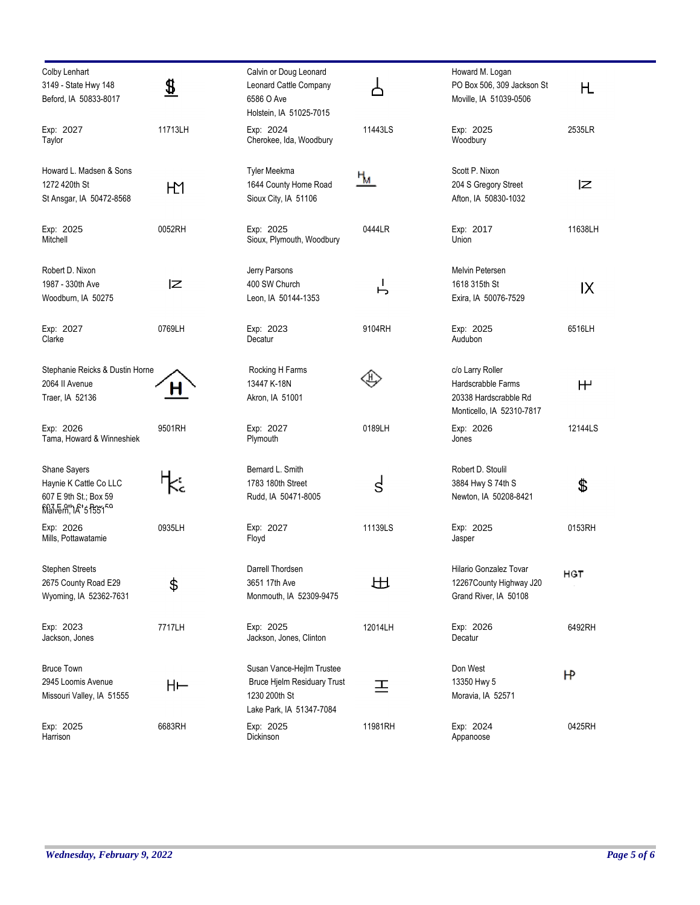| Colby Lenhart<br>3149 - State Hwy 148<br>Beford, IA 50833-8017                                        | $\overline{\boldsymbol{x}}$ | Calvin or Doug Leonard<br>Leonard Cattle Company<br>6586 O Ave<br>Holstein, IA 51025-7015             |                   | Howard M. Logan<br>PO Box 506, 309 Jackson St<br>Moville, IA 51039-0506                      | Η            |
|-------------------------------------------------------------------------------------------------------|-----------------------------|-------------------------------------------------------------------------------------------------------|-------------------|----------------------------------------------------------------------------------------------|--------------|
| Exp: 2027<br>Taylor                                                                                   | 11713LH                     | Exp: 2024<br>Cherokee, Ida, Woodbury                                                                  | 11443LS           | Exp: 2025<br>Woodbury                                                                        | 2535LR       |
| Howard L. Madsen & Sons<br>1272 420th St<br>St Ansgar, IA 50472-8568                                  | HД                          | Tyler Meekma<br>1644 County Home Road<br>Sioux City, IA 51106                                         | <u>Чи</u>         | Scott P. Nixon<br>204 S Gregory Street<br>Afton, IA 50830-1032                               | ΙZ           |
| Exp: 2025<br>Mitchell                                                                                 | 0052RH                      | Exp: 2025<br>Sioux, Plymouth, Woodbury                                                                | 0444LR            | Exp: 2017<br>Union                                                                           | 11638LH      |
| Robert D. Nixon<br>1987 - 330th Ave<br>Woodburn, IA 50275                                             | ΙZ                          | Jerry Parsons<br>400 SW Church<br>Leon, IA 50144-1353                                                 | $\mathbf{I}$<br>ь | Melvin Petersen<br>1618 315th St<br>Exira, IA 50076-7529                                     | IX           |
| Exp: 2027<br>Clarke                                                                                   | 0769LH                      | Exp: 2023<br>Decatur                                                                                  | 9104RH            | Exp: 2025<br>Audubon                                                                         | 6516LH       |
| Stephanie Reicks & Dustin Horne<br>2064 II Avenue<br>Traer, IA 52136                                  | п                           | Rocking H Farms<br>13447 K-18N<br>Akron, IA 51001                                                     |                   | c/o Larry Roller<br>Hardscrabble Farms<br>20338 Hardscrabble Rd<br>Monticello, IA 52310-7817 | $H^{\prime}$ |
| Exp: 2026<br>Tama, Howard & Winneshiek                                                                | 9501RH                      | Exp: 2027<br>Plymouth                                                                                 | 0189LH            | Exp: 2026<br>Jones                                                                           | 12144LS      |
| Shane Sayers<br>Haynie K Cattle Co LLC<br>607 E 9th St.; Box 59<br>Malvem, 1 A ' 5 1531 <sup>En</sup> |                             | Bernard L. Smith<br>1783 180th Street<br>Rudd, IA 50471-8005                                          | $\mathsf{S}$      | Robert D. Stoulil<br>3884 Hwy S 74th S<br>Newton, IA 50208-8421                              | \$           |
| Exp: 2026<br>Mills, Pottawatamie                                                                      | 0935LH                      | Exp: 2027<br>Floyd                                                                                    | 11139LS           | Exp: 2025<br>Jasper                                                                          | 0153RH       |
| <b>Stephen Streets</b><br>2675 County Road E29<br>Wyoming, IA 52362-7631                              | \$                          | Darrell Thordsen<br>3651 17th Ave<br>Monmouth, IA 52309-9475                                          | 出                 | Hilario Gonzalez Tovar<br>12267 County Highway J20<br>Grand River, IA 50108                  | HGT          |
| Exp: 2023<br>Jackson, Jones                                                                           | 7717LH                      | Exp: 2025<br>Jackson, Jones, Clinton                                                                  | 12014LH           | Exp: 2026<br>Decatur                                                                         | 6492RH       |
| <b>Bruce Town</b><br>2945 Loomis Avenue<br>Missouri Valley, IA 51555                                  | H⊢                          | Susan Vance-Hejlm Trustee<br>Bruce Hjelm Residuary Trust<br>1230 200th St<br>Lake Park, IA 51347-7084 | 프                 | Don West<br>13350 Hwy 5<br>Moravia, IA 52571                                                 | Н٢           |
| Exp: 2025<br>Harrison                                                                                 | 6683RH                      | Exp: 2025<br>Dickinson                                                                                | 11981RH           | Exp: 2024<br>Appanoose                                                                       | 0425RH       |